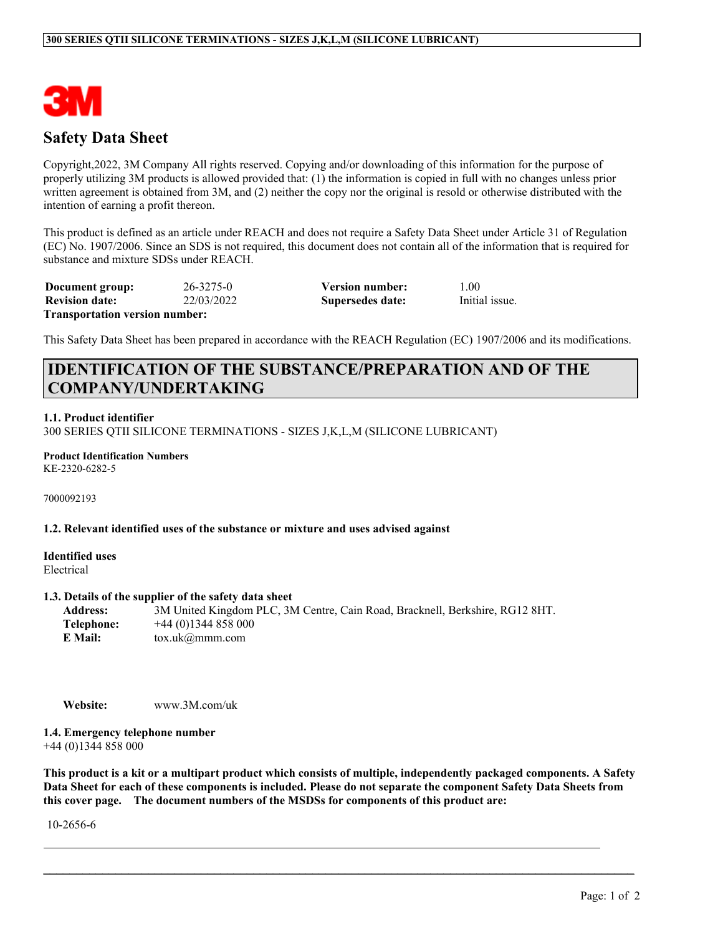

# **Safety Data Sheet**

Copyright,2022, 3M Company All rights reserved. Copying and/or downloading of this information for the purpose of properly utilizing 3M products is allowed provided that: (1) the information is copied in full with no changes unless prior written agreement is obtained from 3M, and (2) neither the copy nor the original is resold or otherwise distributed with the intention of earning a profit thereon.

This product is defined as an article under REACH and does not require a Safety Data Sheet under Article 31 of Regulation (EC) No. 1907/2006. Since an SDS is not required, this document does not contain all of the information that is required for substance and mixture SDSs under REACH.

**Document group:** 26-3275-0 **Version number:** 1.00 **Revision date:** 22/03/2022 **Supersedes date:** Initial issue. **Transportation version number:**

This Safety Data Sheet has been prepared in accordance with the REACH Regulation (EC) 1907/2006 and its modifications.

# **IDENTIFICATION OF THE SUBSTANCE/PREPARATION AND OF THE COMPANY/UNDERTAKING**

# **1.1. Product identifier**

300 SERIES QTII SILICONE TERMINATIONS - SIZES J,K,L,M (SILICONE LUBRICANT)

**Product Identification Numbers** KE-2320-6282-5

7000092193

#### **1.2. Relevant identified uses of the substance or mixture and uses advised against**

**Identified uses** Electrical

#### **1.3. Details of the supplier of the safety data sheet**

| <b>Address:</b> | 3M United Kingdom PLC, 3M Centre, Cain Road, Bracknell, Berkshire, RG12 8HT. |
|-----------------|------------------------------------------------------------------------------|
| Telephone:      | $+44(0)1344858000$                                                           |
| E Mail:         | $\text{tox.uk}(\omega \text{mmm.com})$                                       |

**Website:** www.3M.com/uk

**1.4. Emergency telephone number** +44 (0)1344 858 000

This product is a kit or a multipart product which consists of multiple, independently packaged components. A Safety Data Sheet for each of these components is included. Please do not separate the component Safety Data Sheets from **this cover page. The document numbers of the MSDSs for components of this product are:**

 $\mathcal{L}_\mathcal{L} = \mathcal{L}_\mathcal{L} = \mathcal{L}_\mathcal{L} = \mathcal{L}_\mathcal{L} = \mathcal{L}_\mathcal{L} = \mathcal{L}_\mathcal{L} = \mathcal{L}_\mathcal{L} = \mathcal{L}_\mathcal{L} = \mathcal{L}_\mathcal{L} = \mathcal{L}_\mathcal{L} = \mathcal{L}_\mathcal{L} = \mathcal{L}_\mathcal{L} = \mathcal{L}_\mathcal{L} = \mathcal{L}_\mathcal{L} = \mathcal{L}_\mathcal{L} = \mathcal{L}_\mathcal{L} = \mathcal{L}_\mathcal{L}$ 

10-2656-6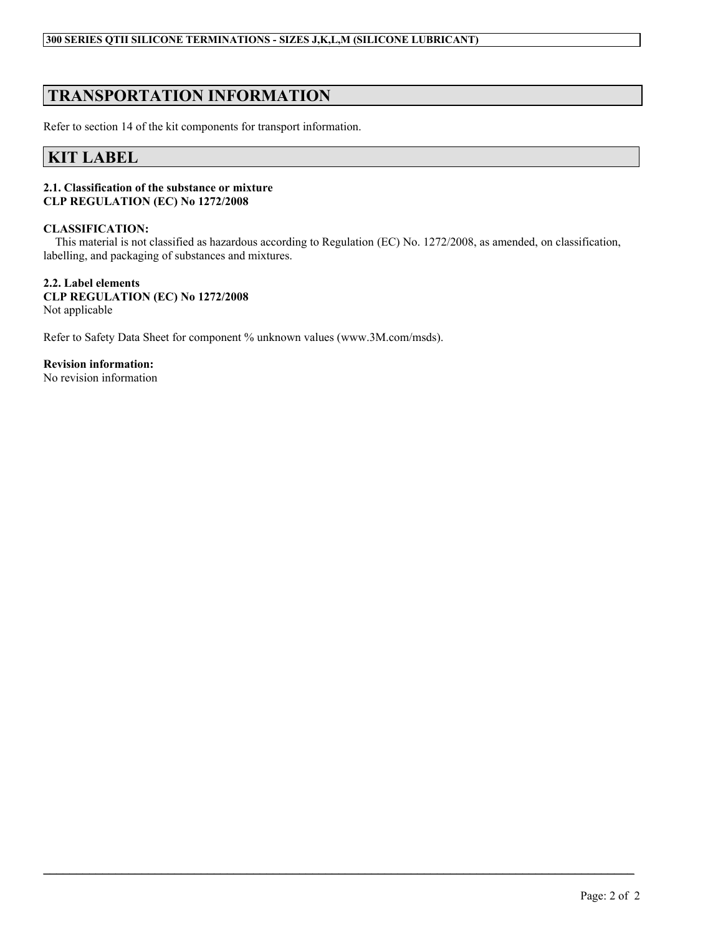# **TRANSPORTATION INFORMATION**

Refer to section 14 of the kit components for transport information.

# **KIT LABEL**

# **2.1. Classification of the substance or mixture CLP REGULATION (EC) No 1272/2008**

# **CLASSIFICATION:**

This material is not classified as hazardous according to Regulation (EC) No. 1272/2008, as amended, on classification, labelling, and packaging of substances and mixtures.

 $\mathcal{L}_\mathcal{L} = \mathcal{L}_\mathcal{L} = \mathcal{L}_\mathcal{L} = \mathcal{L}_\mathcal{L} = \mathcal{L}_\mathcal{L} = \mathcal{L}_\mathcal{L} = \mathcal{L}_\mathcal{L} = \mathcal{L}_\mathcal{L} = \mathcal{L}_\mathcal{L} = \mathcal{L}_\mathcal{L} = \mathcal{L}_\mathcal{L} = \mathcal{L}_\mathcal{L} = \mathcal{L}_\mathcal{L} = \mathcal{L}_\mathcal{L} = \mathcal{L}_\mathcal{L} = \mathcal{L}_\mathcal{L} = \mathcal{L}_\mathcal{L}$ 

# **2.2. Label elements CLP REGULATION (EC) No 1272/2008** Not applicable

Refer to Safety Data Sheet for component % unknown values (www.3M.com/msds).

**Revision information:** No revision information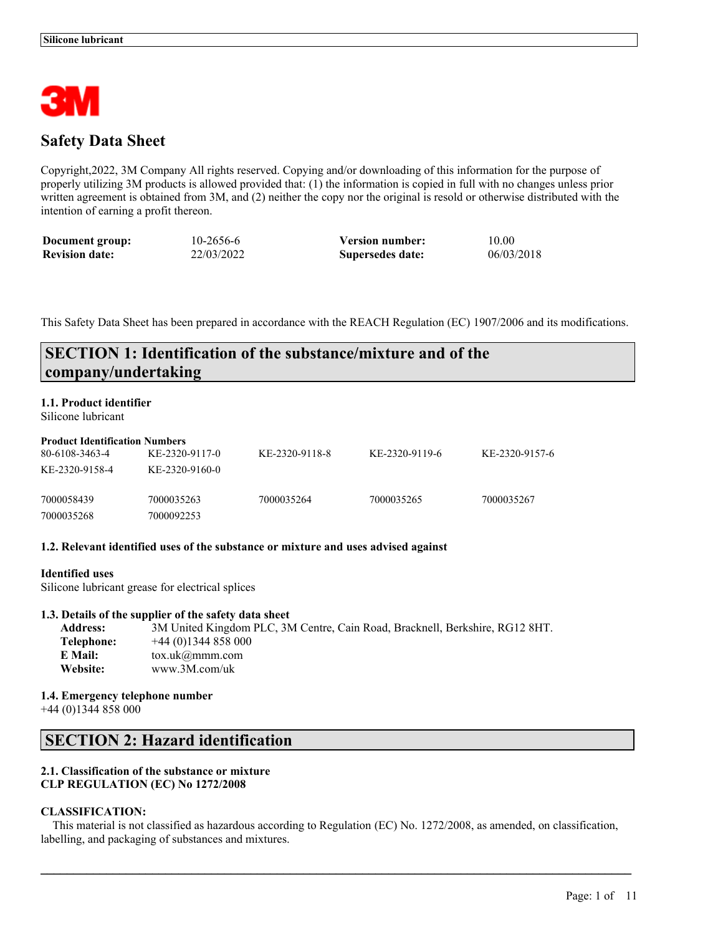

# **Safety Data Sheet**

Copyright,2022, 3M Company All rights reserved. Copying and/or downloading of this information for the purpose of properly utilizing 3M products is allowed provided that: (1) the information is copied in full with no changes unless prior written agreement is obtained from 3M, and (2) neither the copy nor the original is resold or otherwise distributed with the intention of earning a profit thereon.

| Document group:       | 10-2656-6  | <b>Version number:</b> | 10.00      |
|-----------------------|------------|------------------------|------------|
| <b>Revision date:</b> | 22/03/2022 | Supersedes date:       | 06/03/2018 |

This Safety Data Sheet has been prepared in accordance with the REACH Regulation (EC) 1907/2006 and its modifications.

# **SECTION 1: Identification of the substance/mixture and of the company/undertaking**

# **1.1. Product identifier**

Silicone lubricant

| <b>Product Identification Numbers</b> |                |                |                |                |
|---------------------------------------|----------------|----------------|----------------|----------------|
| 80-6108-3463-4                        | KE-2320-9117-0 | KE-2320-9118-8 | KE-2320-9119-6 | KE-2320-9157-6 |
| KE-2320-9158-4                        | KE-2320-9160-0 |                |                |                |
| 7000058439                            | 7000035263     | 7000035264     | 7000035265     | 7000035267     |
| 7000035268                            | 7000092253     |                |                |                |

# **1.2. Relevant identified uses of the substance or mixture and uses advised against**

#### **Identified uses**

Silicone lubricant grease for electrical splices

# **1.3. Details of the supplier of the safety data sheet**

| <b>Address:</b> | 3M United Kingdom PLC, 3M Centre, Cain Road, Bracknell, Berkshire, RG12 8HT. |
|-----------------|------------------------------------------------------------------------------|
| Telephone:      | $+44(0)1344858000$                                                           |
| E Mail:         | $\text{tox.uk}$ ( <i>a</i> ) mmm.com                                         |
| Website:        | www.3M.com/uk                                                                |

#### **1.4. Emergency telephone number**

+44 (0)1344 858 000

# **SECTION 2: Hazard identification**

# **2.1. Classification of the substance or mixture CLP REGULATION (EC) No 1272/2008**

# **CLASSIFICATION:**

This material is not classified as hazardous according to Regulation (EC) No. 1272/2008, as amended, on classification, labelling, and packaging of substances and mixtures.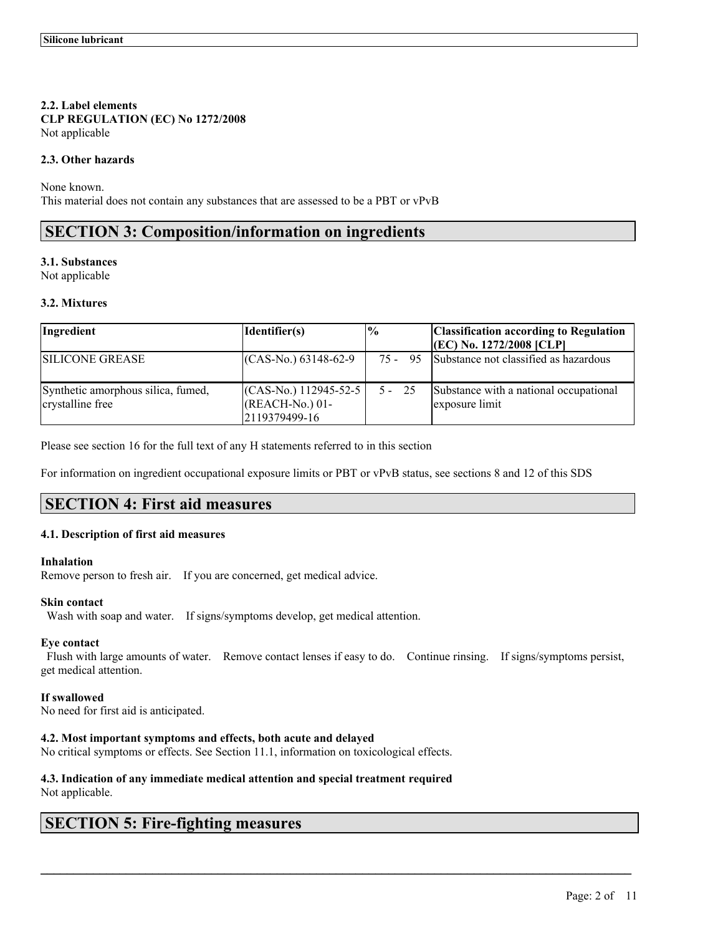# **2.2. Label elements CLP REGULATION (EC) No 1272/2008** Not applicable

# **2.3. Other hazards**

None known. This material does not contain any substances that are assessed to be a PBT or vPvB

# **SECTION 3: Composition/information on ingredients**

# **3.1. Substances**

Not applicable

# **3.2. Mixtures**

| Ingredient                                             | Identifier(s)                                               | $\frac{0}{0}$ | <b>Classification according to Regulation</b>            |
|--------------------------------------------------------|-------------------------------------------------------------|---------------|----------------------------------------------------------|
|                                                        |                                                             |               | $ (EC)$ No. 1272/2008 $ CLP $                            |
| <b>SILICONE GREASE</b>                                 | $(CAS-N0)$ 63148-62-9                                       | 75 -<br>95    | Substance not classified as hazardous                    |
| Synthetic amorphous silica, fumed,<br>crystalline free | $(CAS-N0)$ 112945-52-5<br>$(REACH-N0) 01-$<br>2119379499-16 | $5 - 25$      | Substance with a national occupational<br>exposure limit |

Please see section 16 for the full text of any H statements referred to in this section

For information on ingredient occupational exposure limits or PBT or vPvB status, see sections 8 and 12 of this SDS

# **SECTION 4: First aid measures**

# **4.1. Description of first aid measures**

#### **Inhalation**

Remove person to fresh air. If you are concerned, get medical advice.

#### **Skin contact**

Wash with soap and water. If signs/symptoms develop, get medical attention.

# **Eye contact**

Flush with large amounts of water. Remove contact lenses if easy to do. Continue rinsing. If signs/symptoms persist, get medical attention.

 $\mathcal{L}_\mathcal{L} = \mathcal{L}_\mathcal{L} = \mathcal{L}_\mathcal{L} = \mathcal{L}_\mathcal{L} = \mathcal{L}_\mathcal{L} = \mathcal{L}_\mathcal{L} = \mathcal{L}_\mathcal{L} = \mathcal{L}_\mathcal{L} = \mathcal{L}_\mathcal{L} = \mathcal{L}_\mathcal{L} = \mathcal{L}_\mathcal{L} = \mathcal{L}_\mathcal{L} = \mathcal{L}_\mathcal{L} = \mathcal{L}_\mathcal{L} = \mathcal{L}_\mathcal{L} = \mathcal{L}_\mathcal{L} = \mathcal{L}_\mathcal{L}$ 

# **If swallowed**

No need for first aid is anticipated.

# **4.2. Most important symptoms and effects, both acute and delayed**

No critical symptoms or effects. See Section 11.1, information on toxicological effects.

# **4.3. Indication of any immediate medical attention and special treatment required**

Not applicable.

# **SECTION 5: Fire-fighting measures**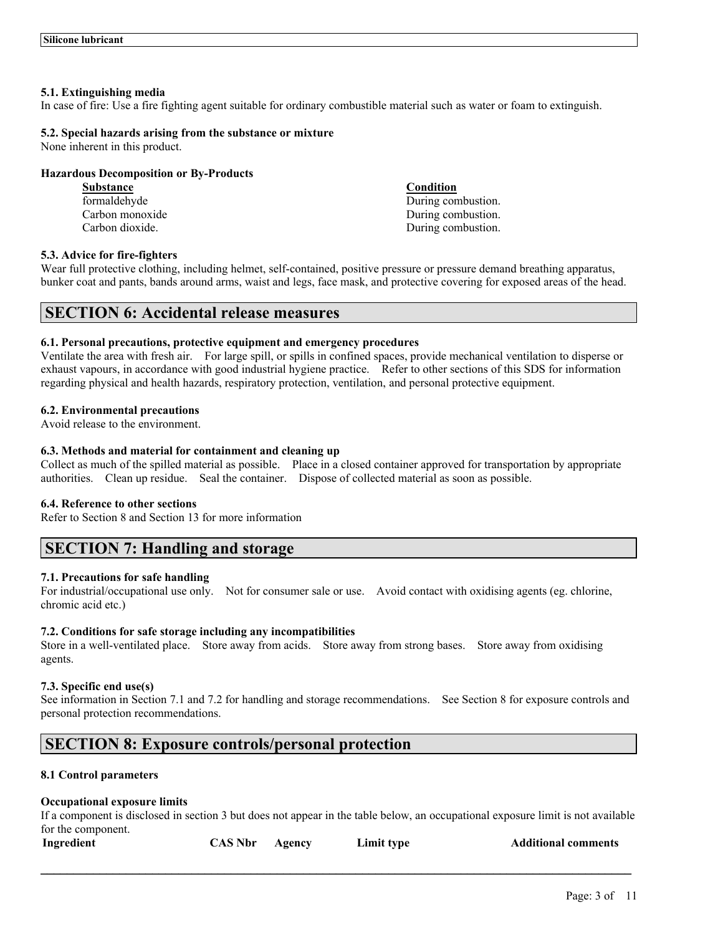## **5.1. Extinguishing media**

In case of fire: Use a fire fighting agent suitable for ordinary combustible material such as water or foam to extinguish.

# **5.2. Special hazards arising from the substance or mixture**

None inherent in this product.

# **Hazardous Decomposition or By-Products**

**Substance Condition**

formaldehyde During combustion. Carbon monoxide During combustion. Carbon dioxide. During combustion.

# **5.3. Advice for fire-fighters**

Wear full protective clothing, including helmet, self-contained, positive pressure or pressure demand breathing apparatus, bunker coat and pants, bands around arms, waist and legs, face mask, and protective covering for exposed areas of the head.

# **SECTION 6: Accidental release measures**

#### **6.1. Personal precautions, protective equipment and emergency procedures**

Ventilate the area with fresh air. For large spill, or spills in confined spaces, provide mechanical ventilation to disperse or exhaust vapours, in accordance with good industrial hygiene practice. Refer to other sections of this SDS for information regarding physical and health hazards, respiratory protection, ventilation, and personal protective equipment.

# **6.2. Environmental precautions**

Avoid release to the environment.

# **6.3. Methods and material for containment and cleaning up**

Collect as much of the spilled material as possible. Place in a closed container approved for transportation by appropriate authorities. Clean up residue. Seal the container. Dispose of collected material as soon as possible.

#### **6.4. Reference to other sections**

Refer to Section 8 and Section 13 for more information

# **SECTION 7: Handling and storage**

# **7.1. Precautions for safe handling**

For industrial/occupational use only. Not for consumer sale or use. Avoid contact with oxidising agents (eg. chlorine, chromic acid etc.)

#### **7.2. Conditions for safe storage including any incompatibilities**

Store in a well-ventilated place. Store away from acids. Store away from strong bases. Store away from oxidising agents.

#### **7.3. Specific end use(s)**

See information in Section 7.1 and 7.2 for handling and storage recommendations. See Section 8 for exposure controls and personal protection recommendations.

# **SECTION 8: Exposure controls/personal protection**

# **8.1 Control parameters**

#### **Occupational exposure limits**

If a component is disclosed in section 3 but does not appear in the table below, an occupational exposure limit is not available for the component.

 $\mathcal{L}_\mathcal{L} = \mathcal{L}_\mathcal{L} = \mathcal{L}_\mathcal{L} = \mathcal{L}_\mathcal{L} = \mathcal{L}_\mathcal{L} = \mathcal{L}_\mathcal{L} = \mathcal{L}_\mathcal{L} = \mathcal{L}_\mathcal{L} = \mathcal{L}_\mathcal{L} = \mathcal{L}_\mathcal{L} = \mathcal{L}_\mathcal{L} = \mathcal{L}_\mathcal{L} = \mathcal{L}_\mathcal{L} = \mathcal{L}_\mathcal{L} = \mathcal{L}_\mathcal{L} = \mathcal{L}_\mathcal{L} = \mathcal{L}_\mathcal{L}$ 

| Ingredient |
|------------|
|------------|

| <b>CAS Nbr</b> | Agency | Limit ty |
|----------------|--------|----------|
|----------------|--------|----------|

**Industrial Comments CAS Additional comments**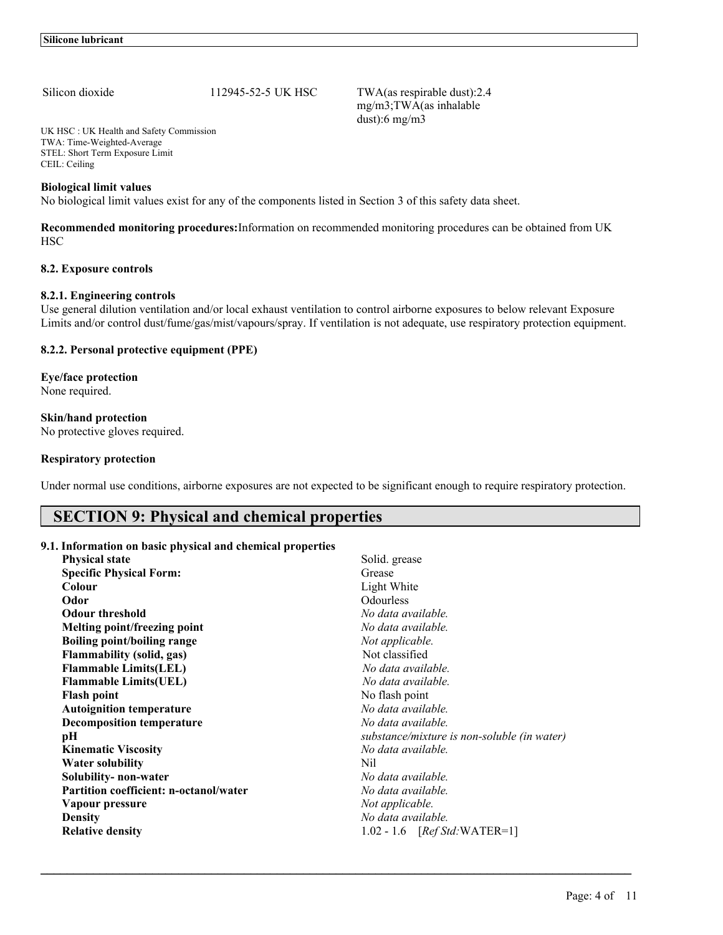Silicon dioxide 112945-52-5 UK HSC TWA(as respirable dust):2.4 mg/m3;TWA(as inhalable dust):6 mg/m3

UK HSC : UK Health and Safety Commission TWA: Time-Weighted-Average STEL: Short Term Exposure Limit CEIL: Ceiling

# **Biological limit values**

No biological limit values exist for any of the components listed in Section 3 of this safety data sheet.

**Recommended monitoring procedures:**Information on recommended monitoring procedures can be obtained from UK **HSC** 

#### **8.2. Exposure controls**

#### **8.2.1. Engineering controls**

Use general dilution ventilation and/or local exhaust ventilation to control airborne exposures to below relevant Exposure Limits and/or control dust/fume/gas/mist/vapours/spray. If ventilation is not adequate, use respiratory protection equipment.

# **8.2.2. Personal protective equipment (PPE)**

**Eye/face protection** None required.

# **Skin/hand protection**

No protective gloves required.

#### **Respiratory protection**

Under normal use conditions, airborne exposures are not expected to be significant enough to require respiratory protection.

# **SECTION 9: Physical and chemical properties**

## **9.1. Information on basic physical and chemical properties**

| <b>Physical state</b>                         | Solid. grease                               |
|-----------------------------------------------|---------------------------------------------|
| <b>Specific Physical Form:</b>                | Grease                                      |
| Colour                                        | Light White                                 |
| Odor                                          | Odourless                                   |
| <b>Odour threshold</b>                        | No data available.                          |
| Melting point/freezing point                  | No data available.                          |
| <b>Boiling point/boiling range</b>            | Not applicable.                             |
| <b>Flammability (solid, gas)</b>              | Not classified                              |
| <b>Flammable Limits(LEL)</b>                  | No data available.                          |
| <b>Flammable Limits(UEL)</b>                  | No data available.                          |
| <b>Flash point</b>                            | No flash point                              |
| <b>Autoignition temperature</b>               | No data available.                          |
| <b>Decomposition temperature</b>              | No data available.                          |
| pН                                            | substance/mixture is non-soluble (in water) |
| <b>Kinematic Viscosity</b>                    | No data available.                          |
| Water solubility                              | Nil                                         |
| Solubility- non-water                         | No data available.                          |
| <b>Partition coefficient: n-octanol/water</b> | No data available.                          |
| Vapour pressure                               | Not applicable.                             |
| <b>Density</b>                                | No data available.                          |
| <b>Relative density</b>                       | $1.02 - 1.6$ [ <i>Ref Std:</i> WATER=1]     |
|                                               |                                             |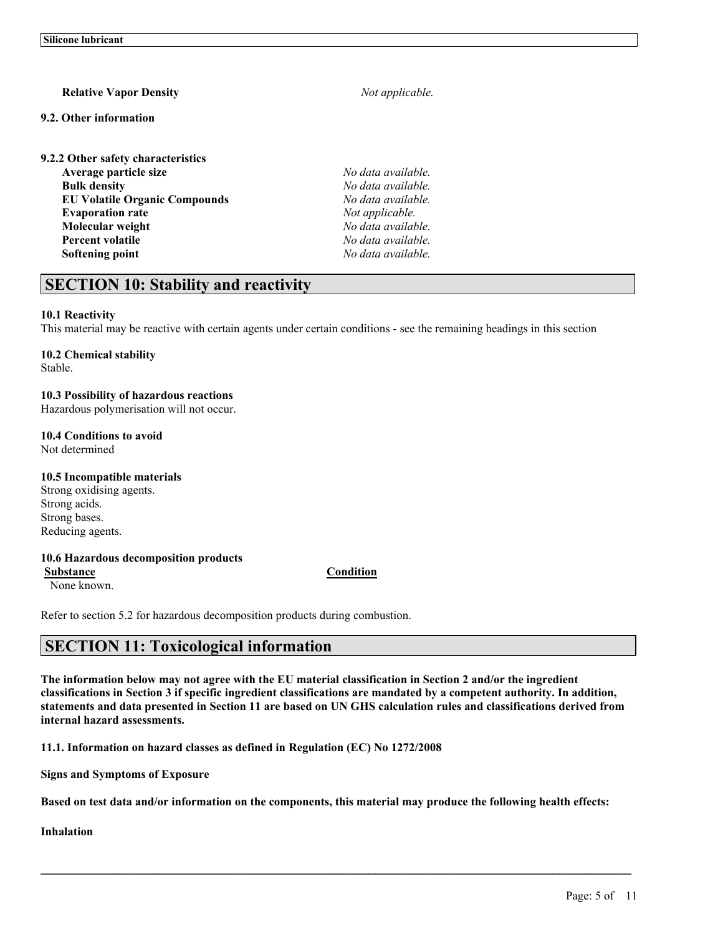# **Relative Vapor Density** *Not applicable.*

## **9.2. Other information**

**9.2.2 Other safety characteristics Average particle size** *No data available.* **Bulk density** *No data available.* **EU Volatile Organic Compounds** *No data available.* **Evaporation rate** *Not applicable.* **Molecular weight** *No data available.* **Percent volatile** *No data available.* **Softening point** *No data available.*

# **SECTION 10: Stability and reactivity**

# **10.1 Reactivity**

This material may be reactive with certain agents under certain conditions - see the remaining headings in this section

# **10.2 Chemical stability**

Stable.

# **10.3 Possibility of hazardous reactions**

Hazardous polymerisation will not occur.

# **10.4 Conditions to avoid**

Not determined

# **10.5 Incompatible materials**

Strong oxidising agents. Strong acids. Strong bases. Reducing agents.

#### **10.6 Hazardous decomposition products**

**Substance Condition**

None known.

Refer to section 5.2 for hazardous decomposition products during combustion.

# **SECTION 11: Toxicological information**

The information below may not agree with the EU material classification in Section 2 and/or the ingredient classifications in Section 3 if specific ingredient classifications are mandated by a competent authority. In addition, statements and data presented in Section 11 are based on UN GHS calculation rules and classifications derived from **internal hazard assessments.**

**11.1. Information on hazard classes as defined in Regulation (EC) No 1272/2008**

**Signs and Symptoms of Exposure**

Based on test data and/or information on the components, this material may produce the following health effects:

 $\mathcal{L}_\mathcal{L} = \mathcal{L}_\mathcal{L} = \mathcal{L}_\mathcal{L} = \mathcal{L}_\mathcal{L} = \mathcal{L}_\mathcal{L} = \mathcal{L}_\mathcal{L} = \mathcal{L}_\mathcal{L} = \mathcal{L}_\mathcal{L} = \mathcal{L}_\mathcal{L} = \mathcal{L}_\mathcal{L} = \mathcal{L}_\mathcal{L} = \mathcal{L}_\mathcal{L} = \mathcal{L}_\mathcal{L} = \mathcal{L}_\mathcal{L} = \mathcal{L}_\mathcal{L} = \mathcal{L}_\mathcal{L} = \mathcal{L}_\mathcal{L}$ 

**Inhalation**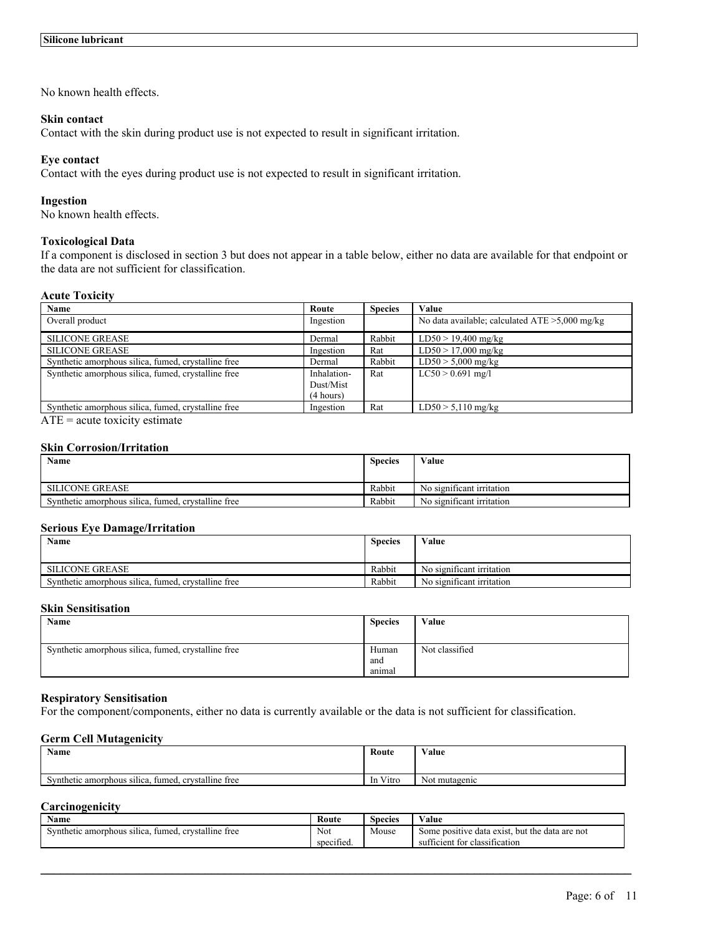No known health effects.

### **Skin contact**

Contact with the skin during product use is not expected to result in significant irritation.

## **Eye contact**

Contact with the eyes during product use is not expected to result in significant irritation.

#### **Ingestion**

No known health effects.

#### **Toxicological Data**

If a component is disclosed in section 3 but does not appear in a table below, either no data are available for that endpoint or the data are not sufficient for classification.

#### **Acute Toxicity**

| Name                                                | Route       | <b>Species</b> | Value                                             |
|-----------------------------------------------------|-------------|----------------|---------------------------------------------------|
| Overall product                                     | Ingestion   |                | No data available; calculated $ATE > 5,000$ mg/kg |
| <b>SILICONE GREASE</b>                              | Dermal      | Rabbit         | $LD50 > 19,400$ mg/kg                             |
| <b>SILICONE GREASE</b>                              | Ingestion   | Rat            | $LD50 > 17,000$ mg/kg                             |
| Synthetic amorphous silica, fumed, crystalline free | Dermal      | Rabbit         | $LD50 > 5,000$ mg/kg                              |
| Synthetic amorphous silica, fumed, crystalline free | Inhalation- | Rat            | $LC50 > 0.691$ mg/l                               |
|                                                     | Dust/Mist   |                |                                                   |
|                                                     | (4 hours)   |                |                                                   |
| Synthetic amorphous silica, fumed, crystalline free | Ingestion   | Rat            | $LD50 > 5,110$ mg/kg                              |

 $ATE = acute$  toxicity estimate

#### **Skin Corrosion/Irritation**

| <b>Name</b>                                         |        | Value                     |
|-----------------------------------------------------|--------|---------------------------|
|                                                     |        |                           |
| SILICONE GREASE                                     | Rabbit | No significant irritation |
| Synthetic amorphous silica, fumed, crystalline free | Rabbit | No significant irritation |

# **Serious Eye Damage/Irritation**

| Name                                                |        | Value                     |
|-----------------------------------------------------|--------|---------------------------|
|                                                     |        |                           |
| <b>SILICONE GREASE</b>                              | Rabbit | No significant irritation |
| Synthetic amorphous silica, fumed, crystalline free | Rabbit | No significant irritation |

# **Skin Sensitisation**

| Name                                                | <b>Species</b>         | Value          |
|-----------------------------------------------------|------------------------|----------------|
| Synthetic amorphous silica, fumed, crystalline free | Human<br>and<br>anımal | Not classified |

#### **Respiratory Sensitisation**

For the component/components, either no data is currently available or the data is not sufficient for classification.

# **Germ Cell Mutagenicity**

| Name                                                                 | Route                        | Value         |
|----------------------------------------------------------------------|------------------------------|---------------|
|                                                                      |                              |               |
| .<br><br>fumed.<br>. crystalline free<br>Synthetic amorphous silica. | $\mathbf{v}$<br>Vitro<br>-In | Not mutagenic |

# **Carcinogenicity**

| Name                                                      | Route                | <b>Species</b> | √alue                                                  |
|-----------------------------------------------------------|----------------------|----------------|--------------------------------------------------------|
| crystalline free<br>fumed.<br>Synthetic amorphous silica, | <b>Not</b>           | Mouse          | but the data are not<br>e data exist.<br>Some positive |
|                                                           | $\sim$<br>specified. |                | sufficient for classification                          |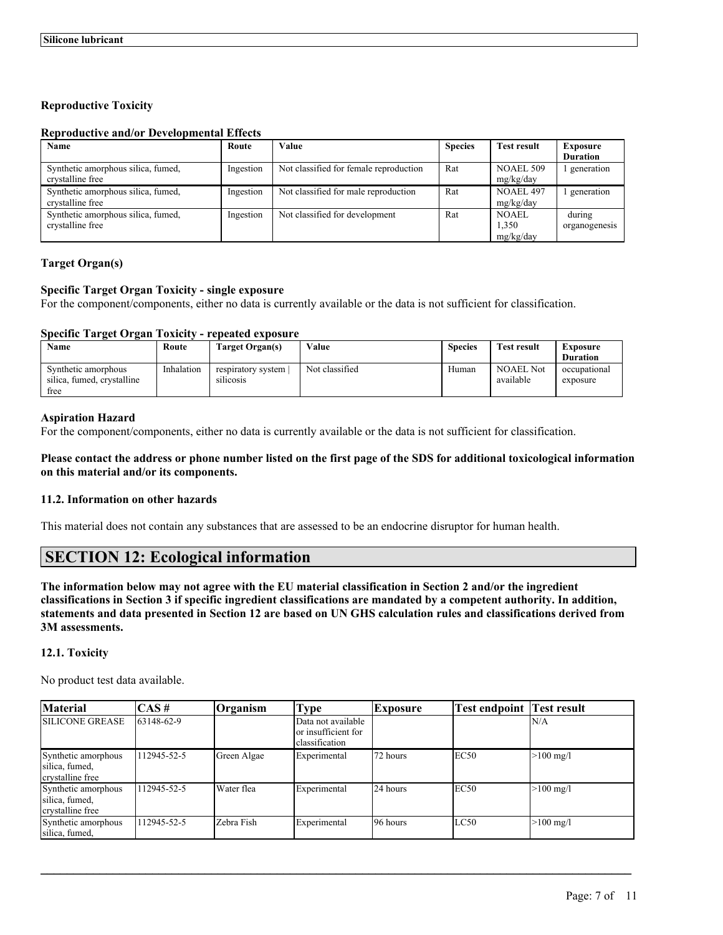# **Reproductive Toxicity**

## **Reproductive and/or Developmental Effects**

| Name                                                   | Route     | Value                                  | <b>Species</b> | <b>Test result</b>          | <b>Exposure</b><br><b>Duration</b> |
|--------------------------------------------------------|-----------|----------------------------------------|----------------|-----------------------------|------------------------------------|
| Synthetic amorphous silica, fumed,<br>crystalline free | Ingestion | Not classified for female reproduction | Rat            | NOAEL 509<br>mg/kg/day      | generation                         |
| Synthetic amorphous silica, fumed,<br>crystalline free | Ingestion | Not classified for male reproduction   | Rat            | NOAEL 497<br>mg/kg/day      | generation                         |
| Synthetic amorphous silica, fumed,<br>crystalline free | Ingestion | Not classified for development         | Rat            | NOAEL<br>1,350<br>mg/kg/day | during<br>organogenesis            |

# **Target Organ(s)**

# **Specific Target Organ Toxicity - single exposure**

For the component/components, either no data is currently available or the data is not sufficient for classification.

# **Specific Target Organ Toxicity - repeated exposure**

| Name                                                      | Route      | Target Organ(s)                 | Value          | <b>Species</b> | <b>Test result</b>            | <b>Exposure</b><br><b>Duration</b> |
|-----------------------------------------------------------|------------|---------------------------------|----------------|----------------|-------------------------------|------------------------------------|
| Synthetic amorphous<br>silica, fumed, crystalline<br>free | Inhalation | respiratory system<br>silicosis | Not classified | Human          | <b>NOAEL Not</b><br>available | occupational<br>exposure           |

# **Aspiration Hazard**

For the component/components, either no data is currently available or the data is not sufficient for classification.

# Please contact the address or phone number listed on the first page of the SDS for additional toxicological information **on this material and/or its components.**

## **11.2. Information on other hazards**

This material does not contain any substances that are assessed to be an endocrine disruptor for human health.

# **SECTION 12: Ecological information**

The information below may not agree with the EU material classification in Section 2 and/or the ingredient classifications in Section 3 if specific ingredient classifications are mandated by a competent authority. In addition, statements and data presented in Section 12 are based on UN GHS calculation rules and classifications derived from **3M assessments.**

# **12.1. Toxicity**

No product test data available.

| <b>Material</b>                                           | $\overline{CAS}$ # | <b>Organism</b> | <b>Type</b>                                                  | <b>Exposure</b> | <b>Test endpoint Test result</b> |                     |
|-----------------------------------------------------------|--------------------|-----------------|--------------------------------------------------------------|-----------------|----------------------------------|---------------------|
| <b>SILICONE GREASE</b>                                    | 63148-62-9         |                 | Data not available<br>lor insufficient for<br>classification |                 |                                  | N/A                 |
| Synthetic amorphous<br>silica, fumed,<br>crystalline free | 112945-52-5        | Green Algae     | Experimental                                                 | 72 hours        | EC50                             | $>100 \text{ mg/l}$ |
| Synthetic amorphous<br>silica, fumed,<br>crystalline free | 112945-52-5        | Water flea      | Experimental                                                 | 24 hours        | EC50                             | $>100 \text{ mg/l}$ |
| Synthetic amorphous<br>silica, fumed,                     | 112945-52-5        | Zebra Fish      | Experimental                                                 | 96 hours        | LC50                             | $>100 \text{ mg/l}$ |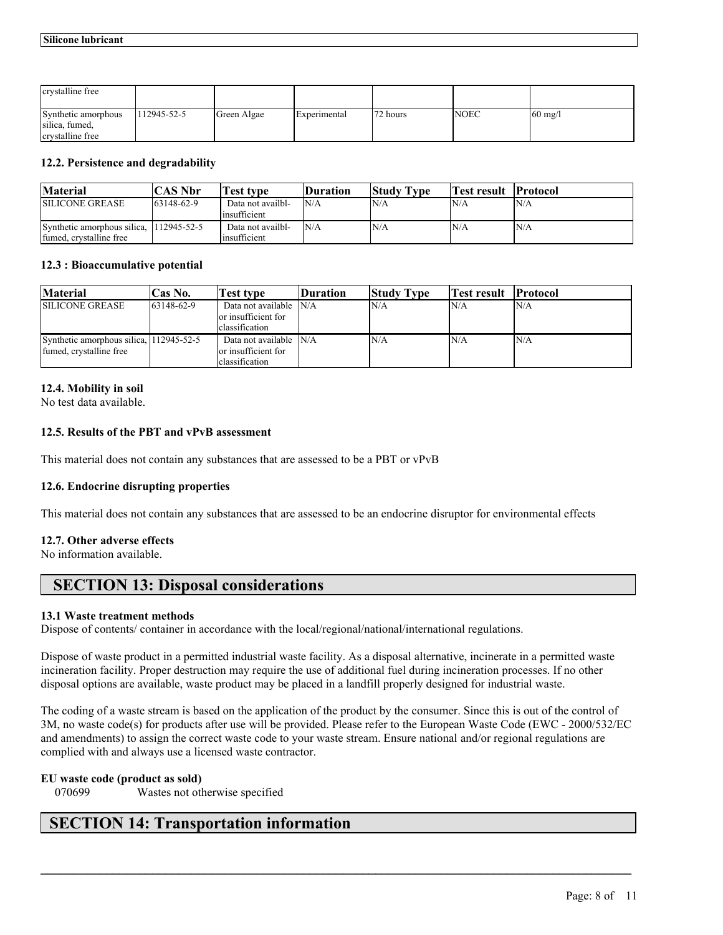| crystalline free                                          |                   |             |              |          |             |                         |
|-----------------------------------------------------------|-------------------|-------------|--------------|----------|-------------|-------------------------|
| Synthetic amorphous<br>silica, fumed,<br>crystalline free | $112945 - 52 - 5$ | Green Algae | Experimental | 72 hours | <b>NOEC</b> | $\left 60 \right $ mg/l |

# **12.2. Persistence and degradability**

| <b>Material</b>                                        | `AS Nbr           | <b>Test type</b>                  | <b>Duration</b> | <b>Study Type</b> | Test result | <b>Protocol</b> |
|--------------------------------------------------------|-------------------|-----------------------------------|-----------------|-------------------|-------------|-----------------|
| <b>SILICONE GREASE</b>                                 | $163148 - 62 - 9$ | Data not availbl-<br>insufficient | N/A             | N/A               | 'N/A        | 'N/A            |
| Synthetic amorphous silica.<br>fumed, crystalline free | 112945-52-5       | Data not availbl-<br>insufficient | N/A             | N/A               | N/A         | N/A             |

#### **12.3 : Bioaccumulative potential**

| <b>Material</b>                                                    | $\text{Cas No.}$  | Test tvpe                                                        | Duration | <b>Study Type</b> | Test result | <b>Protocol</b> |
|--------------------------------------------------------------------|-------------------|------------------------------------------------------------------|----------|-------------------|-------------|-----------------|
| <b>SILICONE GREASE</b>                                             | $163148 - 62 - 9$ | Data not available N/A<br>lor insufficient for<br>classification |          | N/A               | N/A         | IN/A            |
| Synthetic amorphous silica, 112945-52-5<br>fumed, crystalline free |                   | Data not available IN/A<br>or insufficient for<br>classification |          | N/A               | N/A         | <i>N/A</i>      |

# **12.4. Mobility in soil**

No test data available.

# **12.5. Results of the PBT and vPvB assessment**

This material does not contain any substances that are assessed to be a PBT or vPvB

# **12.6. Endocrine disrupting properties**

This material does not contain any substances that are assessed to be an endocrine disruptor for environmental effects

#### **12.7. Other adverse effects**

No information available.

# **SECTION 13: Disposal considerations**

#### **13.1 Waste treatment methods**

Dispose of contents/ container in accordance with the local/regional/national/international regulations.

Dispose of waste product in a permitted industrial waste facility. As a disposal alternative, incinerate in a permitted waste incineration facility. Proper destruction may require the use of additional fuel during incineration processes. If no other disposal options are available, waste product may be placed in a landfill properly designed for industrial waste.

The coding of a waste stream is based on the application of the product by the consumer. Since this is out of the control of 3M, no waste code(s) for products after use will be provided. Please refer to the European Waste Code (EWC - 2000/532/EC and amendments) to assign the correct waste code to your waste stream. Ensure national and/or regional regulations are complied with and always use a licensed waste contractor.

 $\mathcal{L}_\mathcal{L} = \mathcal{L}_\mathcal{L} = \mathcal{L}_\mathcal{L} = \mathcal{L}_\mathcal{L} = \mathcal{L}_\mathcal{L} = \mathcal{L}_\mathcal{L} = \mathcal{L}_\mathcal{L} = \mathcal{L}_\mathcal{L} = \mathcal{L}_\mathcal{L} = \mathcal{L}_\mathcal{L} = \mathcal{L}_\mathcal{L} = \mathcal{L}_\mathcal{L} = \mathcal{L}_\mathcal{L} = \mathcal{L}_\mathcal{L} = \mathcal{L}_\mathcal{L} = \mathcal{L}_\mathcal{L} = \mathcal{L}_\mathcal{L}$ 

#### **EU waste code (product as sold)**

070699 Wastes not otherwise specified

# **SECTION 14: Transportation information**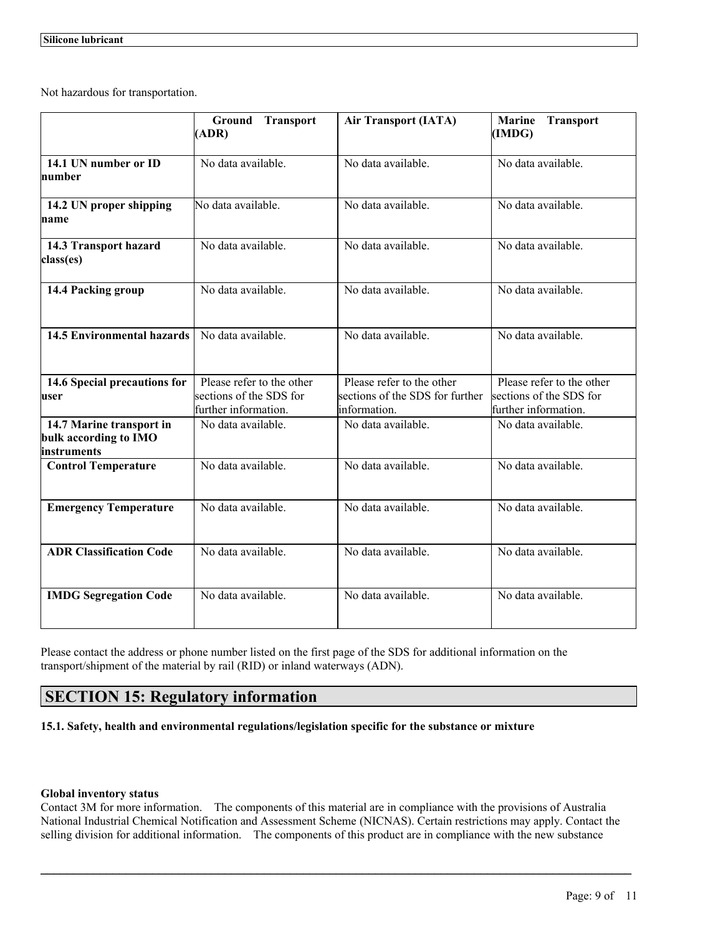Not hazardous for transportation.

|                                                                  | <b>Ground Transport</b><br>(ADR)                                             | <b>Air Transport (IATA)</b>                                                  | <b>Transport</b><br><b>Marine</b><br>(IMDG)                                  |
|------------------------------------------------------------------|------------------------------------------------------------------------------|------------------------------------------------------------------------------|------------------------------------------------------------------------------|
| 14.1 UN number or ID<br>number                                   | No data available.                                                           | No data available.                                                           | No data available.                                                           |
| 14.2 UN proper shipping<br>name                                  | No data available.                                                           | No data available.                                                           | No data available.                                                           |
| 14.3 Transport hazard<br>class(es)                               | No data available.                                                           | No data available.                                                           | No data available.                                                           |
| 14.4 Packing group                                               | No data available.                                                           | No data available.                                                           | No data available.                                                           |
| <b>14.5 Environmental hazards</b>                                | No data available.                                                           | No data available.                                                           | No data available.                                                           |
| 14.6 Special precautions for<br>user                             | Please refer to the other<br>sections of the SDS for<br>further information. | Please refer to the other<br>sections of the SDS for further<br>information. | Please refer to the other<br>sections of the SDS for<br>further information. |
| 14.7 Marine transport in<br>bulk according to IMO<br>instruments | No data available.                                                           | No data available.                                                           | No data available.                                                           |
| <b>Control Temperature</b>                                       | No data available.                                                           | No data available.                                                           | No data available.                                                           |
| <b>Emergency Temperature</b>                                     | No data available.                                                           | No data available.                                                           | No data available.                                                           |
| <b>ADR Classification Code</b>                                   | No data available.                                                           | No data available.                                                           | No data available.                                                           |
| <b>IMDG Segregation Code</b>                                     | No data available.                                                           | No data available.                                                           | No data available.                                                           |

Please contact the address or phone number listed on the first page of the SDS for additional information on the transport/shipment of the material by rail (RID) or inland waterways (ADN).

# **SECTION 15: Regulatory information**

**15.1. Safety, health and environmental regulations/legislation specific for the substance or mixture**

#### **Global inventory status**

Contact 3M for more information. The components of this material are in compliance with the provisions of Australia National Industrial Chemical Notification and Assessment Scheme (NICNAS). Certain restrictions may apply. Contact the selling division for additional information. The components of this product are in compliance with the new substance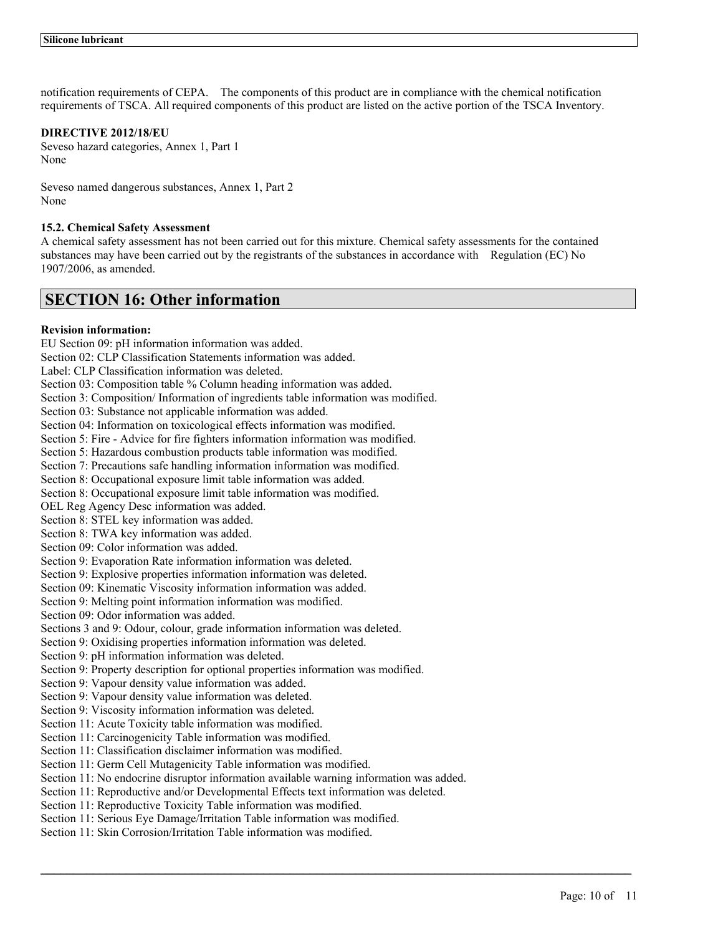notification requirements of CEPA. The components of this product are in compliance with the chemical notification requirements of TSCA. All required components of this product are listed on the active portion of the TSCA Inventory.

# **DIRECTIVE 2012/18/EU**

Seveso hazard categories, Annex 1, Part 1 None

Seveso named dangerous substances, Annex 1, Part 2 None

## **15.2. Chemical Safety Assessment**

A chemical safety assessment has not been carried out for this mixture. Chemical safety assessments for the contained substances may have been carried out by the registrants of the substances in accordance with Regulation (EC) No 1907/2006, as amended.

# **SECTION 16: Other information**

# **Revision information:**

EU Section 09: pH information information was added.

Section 02: CLP Classification Statements information was added.

Label: CLP Classification information was deleted.

Section 03: Composition table % Column heading information was added.

Section 3: Composition/ Information of ingredients table information was modified.

Section 03: Substance not applicable information was added.

Section 04: Information on toxicological effects information was modified.

Section 5: Fire - Advice for fire fighters information information was modified.

Section 5: Hazardous combustion products table information was modified.

Section 7: Precautions safe handling information information was modified.

Section 8: Occupational exposure limit table information was added.

Section 8: Occupational exposure limit table information was modified.

OEL Reg Agency Desc information was added.

Section 8: STEL key information was added.

Section 8: TWA key information was added.

Section 09: Color information was added.

Section 9: Evaporation Rate information information was deleted.

Section 9: Explosive properties information information was deleted.

Section 09: Kinematic Viscosity information information was added.

Section 9: Melting point information information was modified.

Section 09: Odor information was added.

Sections 3 and 9: Odour, colour, grade information information was deleted.

Section 9: Oxidising properties information information was deleted.

Section 9: pH information information was deleted.

Section 9: Property description for optional properties information was modified.

Section 9: Vapour density value information was added.

Section 9: Vapour density value information was deleted.

Section 9: Viscosity information information was deleted.

Section 11: Acute Toxicity table information was modified.

Section 11: Carcinogenicity Table information was modified.

Section 11: Classification disclaimer information was modified.

Section 11: Germ Cell Mutagenicity Table information was modified.

Section 11: No endocrine disruptor information available warning information was added.

 $\mathcal{L}_\mathcal{L} = \mathcal{L}_\mathcal{L} = \mathcal{L}_\mathcal{L} = \mathcal{L}_\mathcal{L} = \mathcal{L}_\mathcal{L} = \mathcal{L}_\mathcal{L} = \mathcal{L}_\mathcal{L} = \mathcal{L}_\mathcal{L} = \mathcal{L}_\mathcal{L} = \mathcal{L}_\mathcal{L} = \mathcal{L}_\mathcal{L} = \mathcal{L}_\mathcal{L} = \mathcal{L}_\mathcal{L} = \mathcal{L}_\mathcal{L} = \mathcal{L}_\mathcal{L} = \mathcal{L}_\mathcal{L} = \mathcal{L}_\mathcal{L}$ 

Section 11: Reproductive and/or Developmental Effects text information was deleted.

Section 11: Reproductive Toxicity Table information was modified.

Section 11: Serious Eye Damage/Irritation Table information was modified.

Section 11: Skin Corrosion/Irritation Table information was modified.